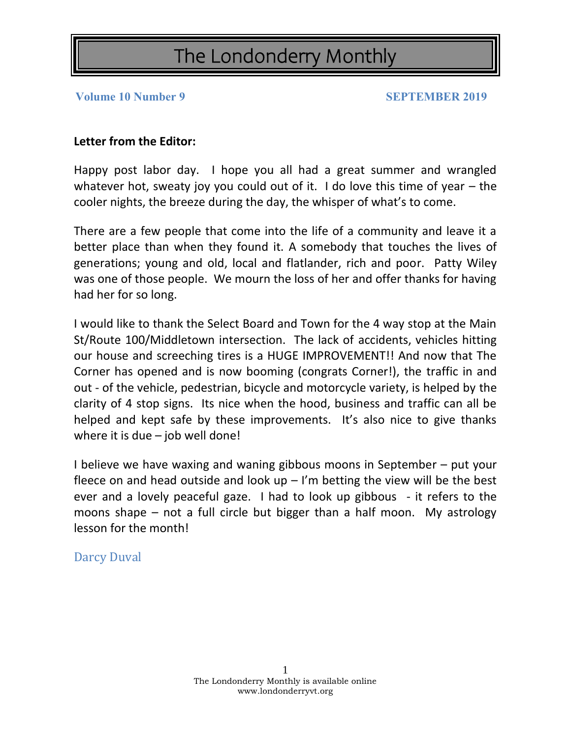**Volume 10 Number 9 SEPTEMBER 2019** 

### **Letter from the Editor:**

Happy post labor day. I hope you all had a great summer and wrangled whatever hot, sweaty joy you could out of it. I do love this time of year – the cooler nights, the breeze during the day, the whisper of what's to come.

There are a few people that come into the life of a community and leave it a better place than when they found it. A somebody that touches the lives of generations; young and old, local and flatlander, rich and poor. Patty Wiley was one of those people. We mourn the loss of her and offer thanks for having had her for so long.

I would like to thank the Select Board and Town for the 4 way stop at the Main St/Route 100/Middletown intersection. The lack of accidents, vehicles hitting our house and screeching tires is a HUGE IMPROVEMENT!! And now that The Corner has opened and is now booming (congrats Corner!), the traffic in and out - of the vehicle, pedestrian, bicycle and motorcycle variety, is helped by the clarity of 4 stop signs. Its nice when the hood, business and traffic can all be helped and kept safe by these improvements. It's also nice to give thanks where it is due – job well done!

I believe we have waxing and waning gibbous moons in September – put your fleece on and head outside and look  $up - l'm$  betting the view will be the best ever and a lovely peaceful gaze. I had to look up gibbous - it refers to the moons shape – not a full circle but bigger than a half moon. My astrology lesson for the month!

Darcy Duval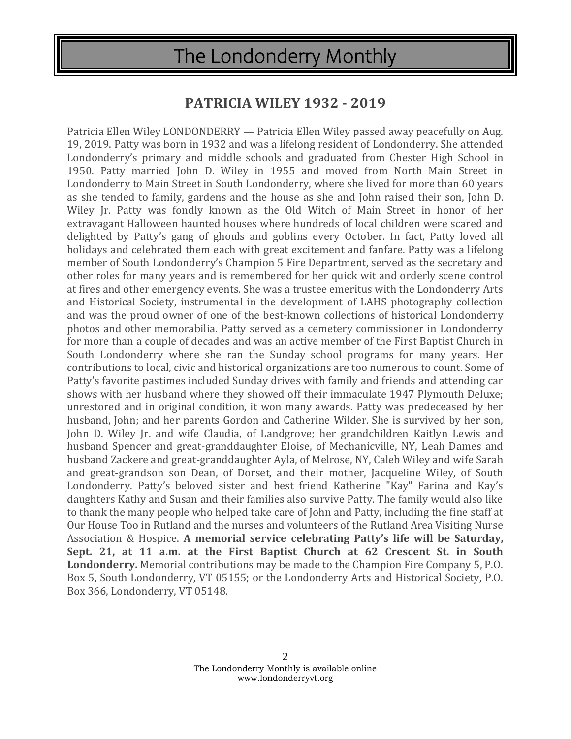## **PATRICIA WILEY 1932 - 2019**

Patricia Ellen Wiley LONDONDERRY — Patricia Ellen Wiley passed away peacefully on Aug. 19, 2019. Patty was born in 1932 and was a lifelong resident of Londonderry. She attended Londonderry's primary and middle schools and graduated from Chester High School in 1950. Patty married John D. Wiley in 1955 and moved from North Main Street in Londonderry to Main Street in South Londonderry, where she lived for more than 60 years as she tended to family, gardens and the house as she and John raised their son, John D. Wiley Jr. Patty was fondly known as the Old Witch of Main Street in honor of her extravagant Halloween haunted houses where hundreds of local children were scared and delighted by Patty's gang of ghouls and goblins every October. In fact, Patty loved all holidays and celebrated them each with great excitement and fanfare. Patty was a lifelong member of South Londonderry's Champion 5 Fire Department, served as the secretary and other roles for many years and is remembered for her quick wit and orderly scene control at fires and other emergency events. She was a trustee emeritus with the Londonderry Arts and Historical Society, instrumental in the development of LAHS photography collection and was the proud owner of one of the best-known collections of historical Londonderry photos and other memorabilia. Patty served as a cemetery commissioner in Londonderry for more than a couple of decades and was an active member of the First Baptist Church in South Londonderry where she ran the Sunday school programs for many years. Her contributions to local, civic and historical organizations are too numerous to count. Some of Patty's favorite pastimes included Sunday drives with family and friends and attending car shows with her husband where they showed off their immaculate 1947 Plymouth Deluxe; unrestored and in original condition, it won many awards. Patty was predeceased by her husband, John; and her parents Gordon and Catherine Wilder. She is survived by her son, John D. Wiley Jr. and wife Claudia, of Landgrove; her grandchildren Kaitlyn Lewis and husband Spencer and great-granddaughter Eloise, of Mechanicville, NY, Leah Dames and husband Zackere and great-granddaughter Ayla, of Melrose, NY, Caleb Wiley and wife Sarah and great-grandson son Dean, of Dorset, and their mother, Jacqueline Wiley, of South Londonderry. Patty's beloved sister and best friend Katherine "Kay" Farina and Kay's daughters Kathy and Susan and their families also survive Patty. The family would also like to thank the many people who helped take care of John and Patty, including the fine staff at Our House Too in Rutland and the nurses and volunteers of the Rutland Area Visiting Nurse Association & Hospice. **A memorial service celebrating Patty's life will be Saturday, Sept. 21, at 11 a.m. at the First Baptist Church at 62 Crescent St. in South Londonderry.** Memorial contributions may be made to the Champion Fire Company 5, P.O. Box 5, South Londonderry, VT 05155; or the Londonderry Arts and Historical Society, P.O. Box 366, Londonderry, VT 05148.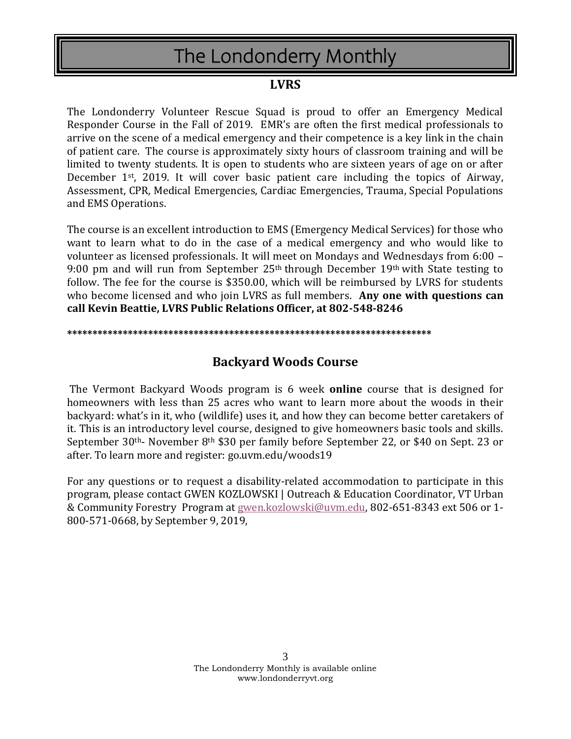### **LVRS**

The Londonderry Volunteer Rescue Squad is proud to offer an Emergency Medical Responder Course in the Fall of 2019. EMR's are often the first medical professionals to arrive on the scene of a medical emergency and their competence is a key link in the chain of patient care. The course is approximately sixty hours of classroom training and will be limited to twenty students. It is open to students who are sixteen years of age on or after December 1st, 2019. It will cover basic patient care including the topics of Airway, Assessment, CPR, Medical Emergencies, Cardiac Emergencies, Trauma, Special Populations and EMS Operations.

The course is an excellent introduction to EMS (Emergency Medical Services) for those who want to learn what to do in the case of a medical emergency and who would like to volunteer as licensed professionals. It will meet on Mondays and Wednesdays from 6:00 – 9:00 pm and will run from September 25th through December 19th with State testing to follow. The fee for the course is \$350.00, which will be reimbursed by LVRS for students who become licensed and who join LVRS as full members. **Any one with questions can call Kevin Beattie, LVRS Public Relations Officer, at 802-548-8246**

#### **\*\*\*\*\*\*\*\*\*\*\*\*\*\*\*\*\*\*\*\*\*\*\*\*\*\*\*\*\*\*\*\*\*\*\*\*\*\*\*\*\*\*\*\*\*\*\*\*\*\*\*\*\*\*\*\*\*\*\*\*\*\*\*\*\*\*\*\*\*\*\*\***

### **Backyard Woods Course**

The Vermont Backyard Woods program is 6 week **online** course that is designed for homeowners with less than 25 acres who want to learn more about the woods in their backyard: what's in it, who (wildlife) uses it, and how they can become better caretakers of it. This is an introductory level course, designed to give homeowners basic tools and skills. September 30th- November 8th \$30 per family before September 22, or \$40 on Sept. 23 or after. To learn more and register: go.uvm.edu/woods19

For any questions or to request a disability-related accommodation to participate in this program, please contact GWEN KOZLOWSKI | Outreach & Education Coordinator, VT Urban & Community Forestry Program at [gwen.kozlowski@uvm.edu,](mailto:gwen.kozlowski@uvm.edu) 802-651-8343 ext 506 or 1- 800-571-0668, by September 9, 2019,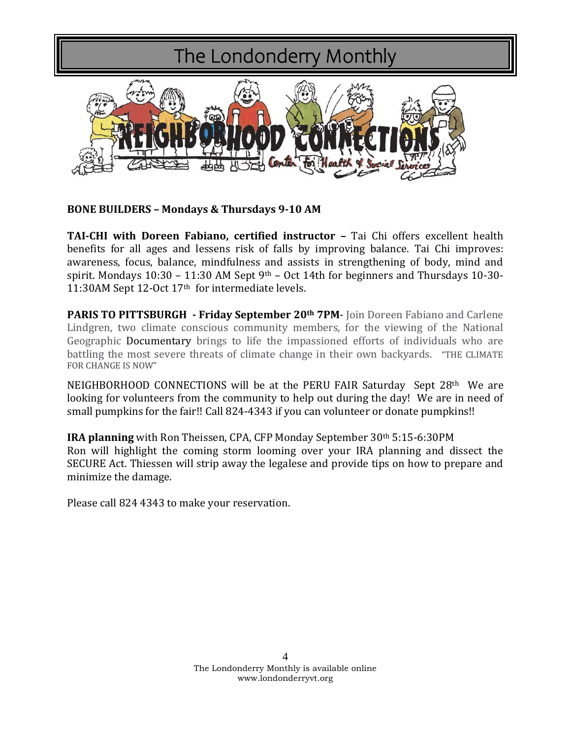

**BONE BUILDERS – Mondays & Thursdays 9-10 AM**

**TAI-CHI with Doreen Fabiano, certified instructor –** Tai Chi offers excellent health benefits for all ages and lessens risk of falls by improving balance. Tai Chi improves: awareness, focus, balance, mindfulness and assists in strengthening of body, mind and spirit. Mondays  $10:30 - 11:30$  AM Sept  $9<sup>th</sup> - Oct$  14th for beginners and Thursdays 10-30-11:30AM Sept 12-Oct 17th for intermediate levels.

**PARIS TO PITTSBURGH - Friday September 20th 7PM**- Join Doreen Fabiano and Carlene Lindgren, two climate conscious community members, for the viewing of the National Geographic Documentary brings to life the impassioned efforts of individuals who are battling the most severe threats of climate change in their own backyards. "THE CLIMATE FOR CHANGE IS NOW"

NEIGHBORHOOD CONNECTIONS will be at the PERU FAIR Saturday Sept 28<sup>th</sup> We are looking for volunteers from the community to help out during the day! We are in need of small pumpkins for the fair!! Call 824-4343 if you can volunteer or donate pumpkins!!

**IRA planning** with Ron Theissen, CPA, CFP Monday September 30th 5:15-6:30PM Ron will highlight the coming storm looming over your IRA planning and dissect the SECURE Act. Thiessen will strip away the legalese and provide tips on how to prepare and minimize the damage.

Please call 824 4343 to make your reservation.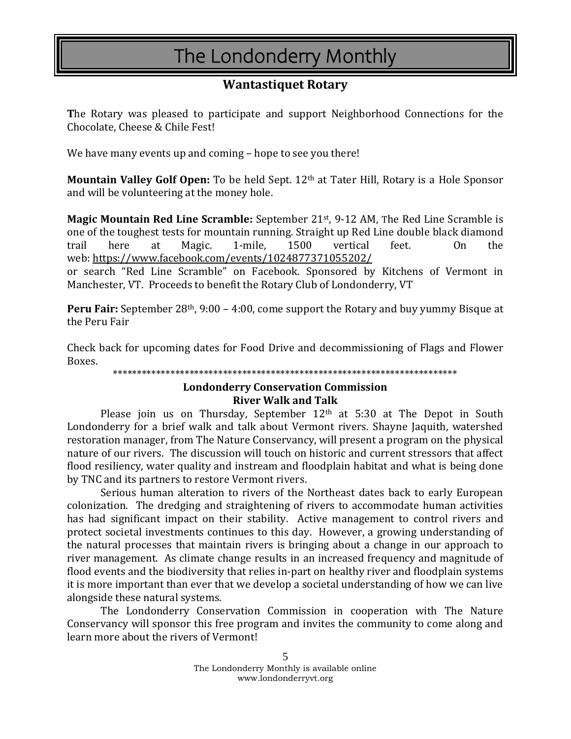### **Wantastiquet Rotary**

**T**he Rotary was pleased to participate and support Neighborhood Connections for the Chocolate, Cheese & Chile Fest!

We have many events up and coming – hope to see you there!

**Mountain Valley Golf Open:** To be held Sept. 12th at Tater Hill, Rotary is a Hole Sponsor and will be volunteering at the money hole.

**Magic Mountain Red Line Scramble:** September 21st, 9-12 AM, The Red Line Scramble is one of the toughest tests for mountain running. Straight up Red Line double black diamond trail here at Magic. 1-mile, 1500 vertical feet. On the web: <https://www.facebook.com/events/1024877371055202/>

or search "Red Line Scramble" on Facebook. Sponsored by Kitchens of Vermont in Manchester, VT. Proceeds to benefit the Rotary Club of Londonderry, VT

**Peru Fair:** September 28th, 9:00 – 4:00, come support the Rotary and buy yummy Bisque at the Peru Fair

Check back for upcoming dates for Food Drive and decommissioning of Flags and Flower Boxes.

\*\*\*\*\*\*\*\*\*\*\*\*\*\*\*\*\*\*\*\*\*\*\*\*\*\*\*\*\*\*\*\*\*\*\*\*\*\*\*\*\*\*\*\*\*\*\*\*\*\*\*\*\*\*\*\*\*\*\*\*\*\*\*\*\*\*\*\*\*\*\*\*

#### **Londonderry Conservation Commission River Walk and Talk**

Please join us on Thursday, September  $12<sup>th</sup>$  at  $5:30$  at The Depot in South Londonderry for a brief walk and talk about Vermont rivers. Shayne Jaquith, watershed restoration manager, from The Nature Conservancy, will present a program on the physical nature of our rivers. The discussion will touch on historic and current stressors that affect flood resiliency, water quality and instream and floodplain habitat and what is being done by TNC and its partners to restore Vermont rivers.

Serious human alteration to rivers of the Northeast dates back to early European colonization. The dredging and straightening of rivers to accommodate human activities has had significant impact on their stability. Active management to control rivers and protect societal investments continues to this day. However, a growing understanding of the natural processes that maintain rivers is bringing about a change in our approach to river management. As climate change results in an increased frequency and magnitude of flood events and the biodiversity that relies in-part on healthy river and floodplain systems it is more important than ever that we develop a societal understanding of how we can live alongside these natural systems.

The Londonderry Conservation Commission in cooperation with The Nature Conservancy will sponsor this free program and invites the community to come along and learn more about the rivers of Vermont!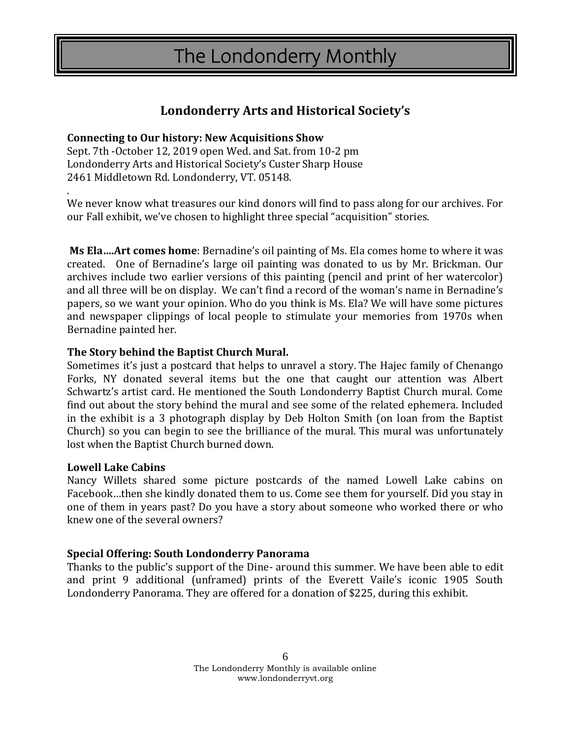### **Londonderry Arts and Historical Society's**

#### **Connecting to Our history: New Acquisitions Show**

Sept. 7th -October 12, 2019 open Wed. and Sat. from 10-2 pm Londonderry Arts and Historical Society's Custer Sharp House 2461 Middletown Rd. Londonderry, VT. 05148.

We never know what treasures our kind donors will find to pass along for our archives. For our Fall exhibit, we've chosen to highlight three special "acquisition" stories.

**Ms Ela….Art comes home**: Bernadine's oil painting of Ms. Ela comes home to where it was created. One of Bernadine's large oil painting was donated to us by Mr. Brickman. Our archives include two earlier versions of this painting (pencil and print of her watercolor) and all three will be on display. We can't find a record of the woman's name in Bernadine's papers, so we want your opinion. Who do you think is Ms. Ela? We will have some pictures and newspaper clippings of local people to stimulate your memories from 1970s when Bernadine painted her.

#### **The Story behind the Baptist Church Mural.**

Sometimes it's just a postcard that helps to unravel a story. The Hajec family of Chenango Forks, NY donated several items but the one that caught our attention was Albert Schwartz's artist card. He mentioned the South Londonderry Baptist Church mural. Come find out about the story behind the mural and see some of the related ephemera. Included in the exhibit is a 3 photograph display by Deb Holton Smith (on loan from the Baptist Church) so you can begin to see the brilliance of the mural. This mural was unfortunately lost when the Baptist Church burned down.

#### **Lowell Lake Cabins**

.

Nancy Willets shared some picture postcards of the named Lowell Lake cabins on Facebook…then she kindly donated them to us. Come see them for yourself. Did you stay in one of them in years past? Do you have a story about someone who worked there or who knew one of the several owners?

#### **Special Offering: South Londonderry Panorama**

Thanks to the public's support of the Dine- around this summer. We have been able to edit and print 9 additional (unframed) prints of the Everett Vaile's iconic 1905 South Londonderry Panorama. They are offered for a donation of \$225, during this exhibit.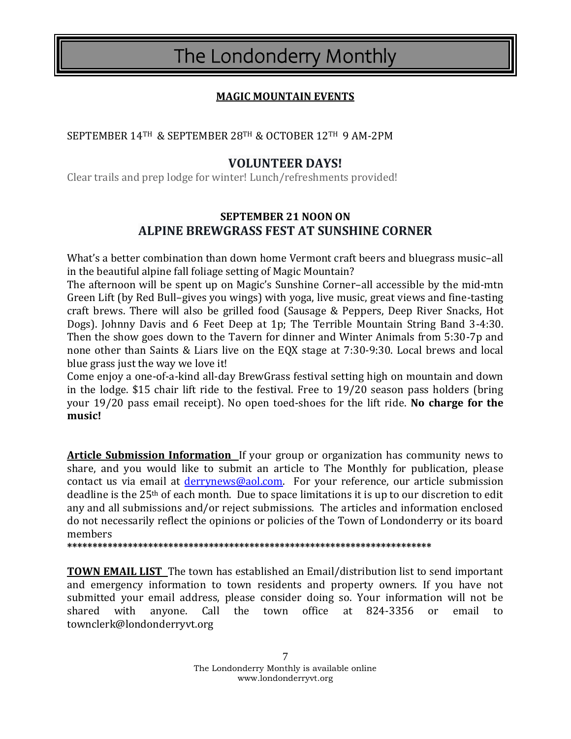### **MAGIC MOUNTAIN EVENTS**

#### SEPTEMBER 14TH & SEPTEMBER 28TH & OCTOBER 12TH 9 AM-2PM

### **VOLUNTEER DAYS!**

Clear trails and prep lodge for winter! Lunch/refreshments provided!

### **SEPTEMBER 21 NOON ON ALPINE BREWGRASS FEST AT SUNSHINE CORNER**

What's a better combination than down home Vermont craft beers and bluegrass music–all in the beautiful alpine fall foliage setting of Magic Mountain?

The afternoon will be spent up on Magic's Sunshine Corner–all accessible by the mid-mtn Green Lift (by Red Bull–gives you wings) with yoga, live music, great views and fine-tasting craft brews. There will also be grilled food (Sausage & Peppers, Deep River Snacks, Hot Dogs). Johnny Davis and 6 Feet Deep at 1p; The Terrible Mountain String Band 3-4:30. Then the show goes down to the Tavern for dinner and Winter Animals from 5:30-7p and none other than Saints & Liars live on the EQX stage at 7:30-9:30. Local brews and local blue grass just the way we love it!

Come enjoy a one-of-a-kind all-day BrewGrass festival setting high on mountain and down in the lodge. \$15 chair lift ride to the festival. Free to 19/20 season pass holders (bring your 19/20 pass email receipt). No open toed-shoes for the lift ride. **No charge for the music!**

**Article Submission Information** If your group or organization has community news to share, and you would like to submit an article to The Monthly for publication, please contact us via email at *derrynews@aol.com*. For your reference, our article submission deadline is the  $25<sup>th</sup>$  of each month. Due to space limitations it is up to our discretion to edit any and all submissions and/or reject submissions. The articles and information enclosed do not necessarily reflect the opinions or policies of the Town of Londonderry or its board members

**\*\*\*\*\*\*\*\*\*\*\*\*\*\*\*\*\*\*\*\*\*\*\*\*\*\*\*\*\*\*\*\*\*\*\*\*\*\*\*\*\*\*\*\*\*\*\*\*\*\*\*\*\*\*\*\*\*\*\*\*\*\*\*\*\*\*\*\*\*\*\*\***

**TOWN EMAIL LIST** The town has established an Email/distribution list to send important and emergency information to town residents and property owners. If you have not submitted your email address, please consider doing so. Your information will not be shared with anyone. Call the town office at 824-3356 or email to townclerk@londonderryvt.org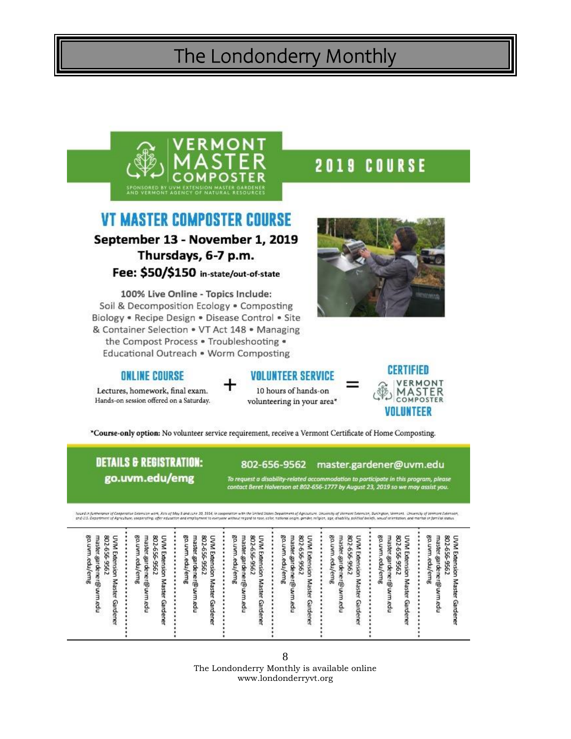

# **VT MASTER COMPOSTER COURSE** September 13 - November 1, 2019

Thursdays, 6-7 p.m. Fee: \$50/\$150 in-state/out-of-state

100% Live Online - Topics Include: Soil & Decomposition Ecology . Composting Biology . Recipe Design . Disease Control . Site & Container Selection . VT Act 148 . Managing the Compost Process . Troubleshooting . Educational Outreach . Worm Composting

### **ONLINE COURSE**

Lectures, homework, final exam. Hands-on session offered on a Saturday.



10 hours of hands-on volunteering in your area\*



\*Course-only option: No volunteer service requirement, receive a Vermont Certificate of Home Composting.

## **DETAILS & REGISTRATION:** go.uvm.edu/emg

#### 802-656-9562 master.gardener@uvm.edu

To request a disability-related accommodation to participate in this program, please<br>contact Beret Halverson at 802-656-1777 by August 23, 2019 so we may assist you.

luveln furtererer of Coopmative Colomber och, Acts of May & and Lux 10, 1014, in compatible in the United Sections of Agricultor. University of Verminity Colomber 1989, and Colomber of May and Colomber 2012 and the United

| go.uvm.edu/emg<br>802-656-9562<br>master.garde ne r@uvm.edu<br><b>UVM Exte</b><br>uoisui<br>Master<br>Garder | go.uvm.edu/emg<br>802.<br>master.garde ne r@ uvm.edu<br>UVM Extension Master<br>656-9562<br>I<br>Garder | go.uvm.edu/emg<br>master.gardener@uvm.edu<br>802<br>UVM Extension Master Gardener<br>$\ddot{\phantom{0}}$<br>\$<br><br>-956 | go.uvm.edu/emg<br>master.garde.ner@uvm.edu<br>802<br>UVM Extension Master Garden<br>\$<br>٠<br>٠<br>-9562 | 802<br>go.uvm.edu/emg<br>master.gardener@uvm<br>UVM Extension Master<br>\$56-9562<br>÷<br>٠<br>ï<br>Garden<br>ğ | go.uvm.edu/emg<br>master.garde.ner@uvm.edu<br>802-656-9562<br>UVM Extension Master<br><br>Gardener | master.gardener@uvm.edu<br>802-656-9562<br>802.<br>go.uvm.edu/emg<br>go.uvm.edu/emg<br>UVM Extension Master<br>master.garde.ner@uvm<br>UVM Extension Master Gardener<br><br>C956-959<br>٠<br>:<br>Garden<br>hpa |
|--------------------------------------------------------------------------------------------------------------|---------------------------------------------------------------------------------------------------------|-----------------------------------------------------------------------------------------------------------------------------|-----------------------------------------------------------------------------------------------------------|-----------------------------------------------------------------------------------------------------------------|----------------------------------------------------------------------------------------------------|-----------------------------------------------------------------------------------------------------------------------------------------------------------------------------------------------------------------|
|--------------------------------------------------------------------------------------------------------------|---------------------------------------------------------------------------------------------------------|-----------------------------------------------------------------------------------------------------------------------------|-----------------------------------------------------------------------------------------------------------|-----------------------------------------------------------------------------------------------------------------|----------------------------------------------------------------------------------------------------|-----------------------------------------------------------------------------------------------------------------------------------------------------------------------------------------------------------------|

8 The Londonderry Monthly is available online www.londonderryvt.org

2019 COURSE